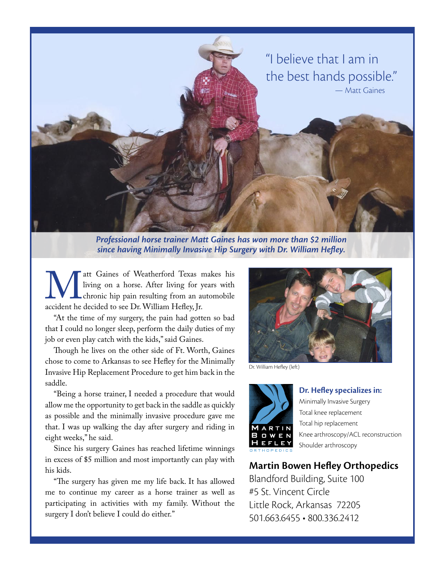

*Professional horse trainer Matt Gaines has won more than \$2 million since having Minimally Invasive Hip Surgery with Dr. William Hefley.* 

att Gaines of Weatherford Texas makes his living on a horse. After living for years with chronic hip pain resulting from an automobile accident he decided to see Dr. William Hefley, Jr. living on a horse. After living for years with chronic hip pain resulting from an automobile accident he decided to see Dr. William Hefley, Jr.

"At the time of my surgery, the pain had gotten so bad that I could no longer sleep, perform the daily duties of my job or even play catch with the kids," said Gaines.

Though he lives on the other side of Ft. Worth, Gaines chose to come to Arkansas to see Hefley for the Minimally Invasive Hip Replacement Procedure to get him back in the saddle.

"Being a horse trainer, I needed a procedure that would allow me the opportunity to get back in the saddle as quickly as possible and the minimally invasive procedure gave me that. I was up walking the day after surgery and riding in eight weeks," he said.

Since his surgery Gaines has reached lifetime winnings in excess of \$5 million and most importantly can play with his kids.

"The surgery has given me my life back. It has allowed me to continue my career as a horse trainer as well as participating in activities with my family. Without the surgery I don't believe I could do either."



Dr. William Hefley (left)



**Dr. Hefley specializes in:** Minimally Invasive Surgery Total knee replacement Total hip replacement Knee arthroscopy/ACL reconstruction Shoulder arthroscopy

**Martin Bowen Hefley Orthopedics**

Blandford Building, Suite 100 #5 St. Vincent Circle Little Rock, Arkansas 72205 501.663.6455 • 800.336.2412